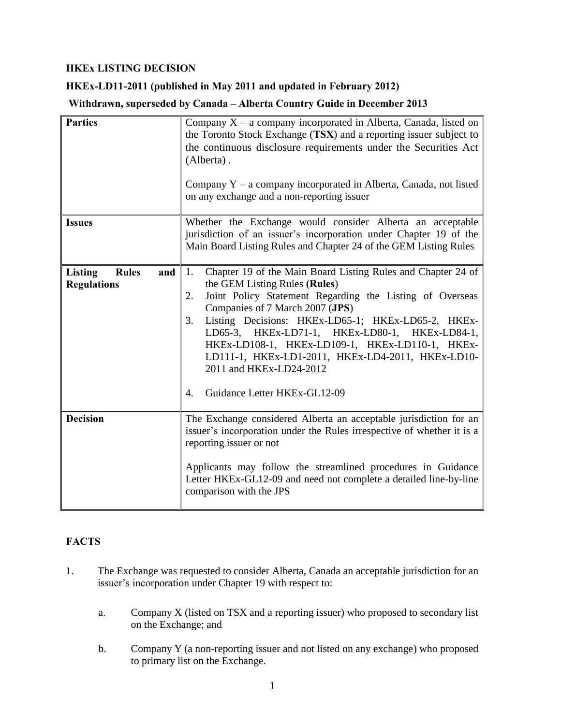## **HKEx LISTING DECISION**

## **HKEx-LD11-2011 (published in May 2011 and updated in February 2012)**

**Withdrawn, superseded by Canada – Alberta Country Guide in December 2013** 

| <b>Parties</b>                                              | Company $X - a$ company incorporated in Alberta, Canada, listed on<br>the Toronto Stock Exchange (TSX) and a reporting issuer subject to<br>the continuous disclosure requirements under the Securities Act<br>(Alberta).<br>Company Y - a company incorporated in Alberta, Canada, not listed<br>on any exchange and a non-reporting issuer                                                                                                                                                    |  |  |
|-------------------------------------------------------------|-------------------------------------------------------------------------------------------------------------------------------------------------------------------------------------------------------------------------------------------------------------------------------------------------------------------------------------------------------------------------------------------------------------------------------------------------------------------------------------------------|--|--|
| <b>Issues</b>                                               | Whether the Exchange would consider Alberta an acceptable<br>jurisdiction of an issuer's incorporation under Chapter 19 of the<br>Main Board Listing Rules and Chapter 24 of the GEM Listing Rules                                                                                                                                                                                                                                                                                              |  |  |
| <b>Listing</b><br><b>Rules</b><br>and<br><b>Regulations</b> | Chapter 19 of the Main Board Listing Rules and Chapter 24 of<br>1.<br>the GEM Listing Rules (Rules)<br>Joint Policy Statement Regarding the Listing of Overseas<br>2.<br>Companies of 7 March 2007 (JPS)<br>3.<br>Listing Decisions: HKEx-LD65-1; HKEx-LD65-2, HKEx-<br>LD65-3, HKEx-LD71-1, HKEx-LD80-1, HKEx-LD84-1,<br>HKEx-LD108-1, HKEx-LD109-1, HKEx-LD110-1, HKEx-<br>LD111-1, HKEx-LD1-2011, HKEx-LD4-2011, HKEx-LD10-<br>2011 and HKEx-LD24-2012<br>Guidance Letter HKEx-GL12-09<br>4. |  |  |
| <b>Decision</b>                                             | The Exchange considered Alberta an acceptable jurisdiction for an<br>issuer's incorporation under the Rules irrespective of whether it is a<br>reporting issuer or not<br>Applicants may follow the streamlined procedures in Guidance<br>Letter HKEx-GL12-09 and need not complete a detailed line-by-line<br>comparison with the JPS                                                                                                                                                          |  |  |

# **FACTS**

- 1. The Exchange was requested to consider Alberta, Canada an acceptable jurisdiction for an issuer's incorporation under Chapter 19 with respect to:
	- a. Company X (listed on TSX and a reporting issuer) who proposed to secondary list on the Exchange; and
	- b. Company Y (a non-reporting issuer and not listed on any exchange) who proposed to primary list on the Exchange.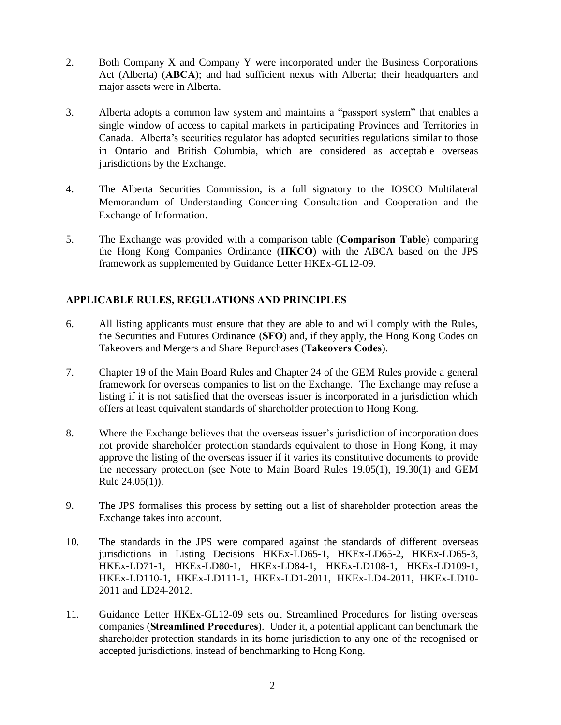- 2. Both Company X and Company Y were incorporated under the Business Corporations Act (Alberta) (**ABCA**); and had sufficient nexus with Alberta; their headquarters and major assets were in Alberta.
- 3. Alberta adopts a common law system and maintains a "passport system" that enables a single window of access to capital markets in participating Provinces and Territories in Canada. Alberta's securities regulator has adopted securities regulations similar to those in Ontario and British Columbia, which are considered as acceptable overseas jurisdictions by the Exchange.
- 4. The Alberta Securities Commission, is a full signatory to the IOSCO Multilateral Memorandum of Understanding Concerning Consultation and Cooperation and the Exchange of Information.
- 5. The Exchange was provided with a comparison table (**Comparison Table**) comparing the Hong Kong Companies Ordinance (**HKCO**) with the ABCA based on the JPS framework as supplemented by Guidance Letter HKEx-GL12-09.

## **APPLICABLE RULES, REGULATIONS AND PRINCIPLES**

- 6. All listing applicants must ensure that they are able to and will comply with the Rules, the Securities and Futures Ordinance (**SFO**) and, if they apply, the Hong Kong Codes on Takeovers and Mergers and Share Repurchases (**Takeovers Codes**).
- 7. Chapter 19 of the Main Board Rules and Chapter 24 of the GEM Rules provide a general framework for overseas companies to list on the Exchange. The Exchange may refuse a listing if it is not satisfied that the overseas issuer is incorporated in a jurisdiction which offers at least equivalent standards of shareholder protection to Hong Kong.
- 8. Where the Exchange believes that the overseas issuer's jurisdiction of incorporation does not provide shareholder protection standards equivalent to those in Hong Kong, it may approve the listing of the overseas issuer if it varies its constitutive documents to provide the necessary protection (see Note to Main Board Rules 19.05(1), 19.30(1) and GEM Rule 24.05(1)).
- 9. The JPS formalises this process by setting out a list of shareholder protection areas the Exchange takes into account.
- 10. The standards in the JPS were compared against the standards of different overseas jurisdictions in Listing Decisions HKEx-LD65-1, HKEx-LD65-2, HKEx-LD65-3, HKEx-LD71-1, HKEx-LD80-1, HKEx-LD84-1, HKEx-LD108-1, HKEx-LD109-1, HKEx-LD110-1, HKEx-LD111-1, HKEx-LD1-2011, HKEx-LD4-2011, HKEx-LD10- 2011 and LD24-2012.
- 11. Guidance Letter HKEx-GL12-09 sets out Streamlined Procedures for listing overseas companies (**Streamlined Procedures**). Under it, a potential applicant can benchmark the shareholder protection standards in its home jurisdiction to any one of the recognised or accepted jurisdictions, instead of benchmarking to Hong Kong.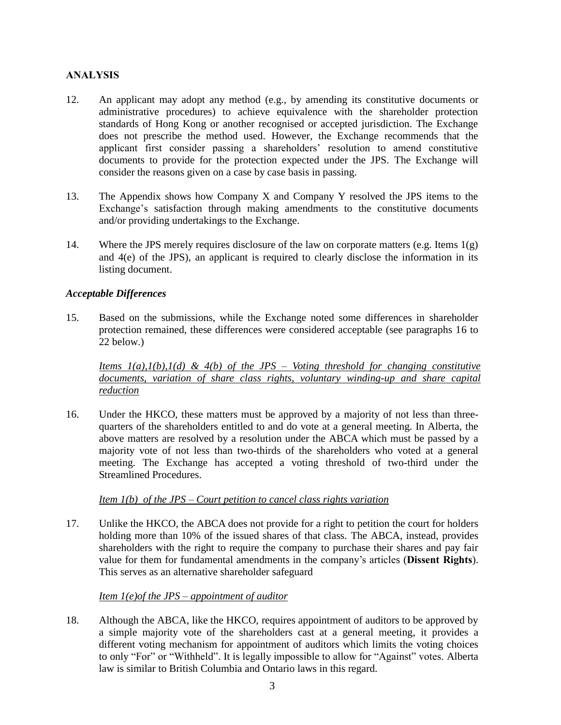### **ANALYSIS**

- 12. An applicant may adopt any method (e.g., by amending its constitutive documents or administrative procedures) to achieve equivalence with the shareholder protection standards of Hong Kong or another recognised or accepted jurisdiction. The Exchange does not prescribe the method used. However, the Exchange recommends that the applicant first consider passing a shareholders' resolution to amend constitutive documents to provide for the protection expected under the JPS. The Exchange will consider the reasons given on a case by case basis in passing.
- 13. The Appendix shows how Company X and Company Y resolved the JPS items to the Exchange's satisfaction through making amendments to the constitutive documents and/or providing undertakings to the Exchange.
- 14. Where the JPS merely requires disclosure of the law on corporate matters (e.g. Items 1(g) and 4(e) of the JPS), an applicant is required to clearly disclose the information in its listing document.

#### *Acceptable Differences*

15. Based on the submissions, while the Exchange noted some differences in shareholder protection remained, these differences were considered acceptable (see paragraphs 16 to 22 below.)

*Items 1(a),1(b),1(d) & 4(b) of the JPS – Voting threshold for changing constitutive documents, variation of share class rights, voluntary winding-up and share capital reduction* 

16. Under the HKCO, these matters must be approved by a majority of not less than threequarters of the shareholders entitled to and do vote at a general meeting. In Alberta, the above matters are resolved by a resolution under the ABCA which must be passed by a majority vote of not less than two-thirds of the shareholders who voted at a general meeting. The Exchange has accepted a voting threshold of two-third under the Streamlined Procedures.

*Item 1(b) of the JPS – Court petition to cancel class rights variation*

17. Unlike the HKCO, the ABCA does not provide for a right to petition the court for holders holding more than 10% of the issued shares of that class. The ABCA, instead, provides shareholders with the right to require the company to purchase their shares and pay fair value for them for fundamental amendments in the company's articles (**Dissent Rights**). This serves as an alternative shareholder safeguard

*Item 1(e)of the JPS – appointment of auditor* 

18. Although the ABCA, like the HKCO, requires appointment of auditors to be approved by a simple majority vote of the shareholders cast at a general meeting, it provides a different voting mechanism for appointment of auditors which limits the voting choices to only "For" or "Withheld". It is legally impossible to allow for "Against" votes. Alberta law is similar to British Columbia and Ontario laws in this regard.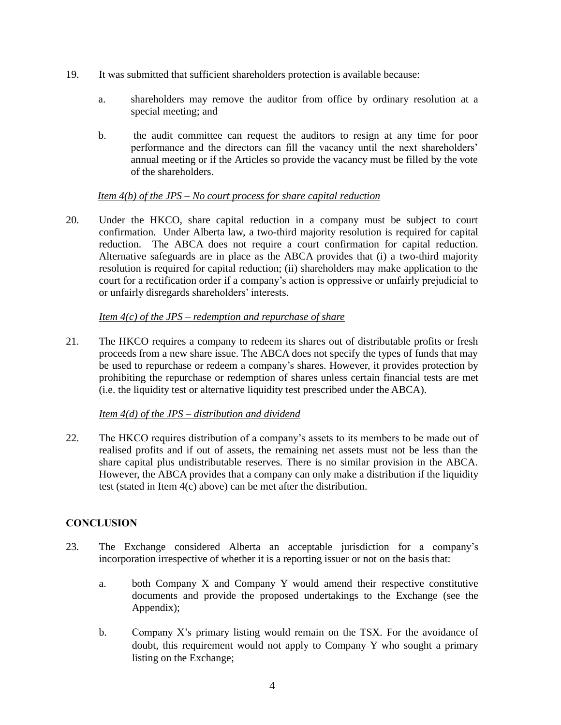- 19. It was submitted that sufficient shareholders protection is available because:
	- a. shareholders may remove the auditor from office by ordinary resolution at a special meeting; and
	- b. the audit committee can request the auditors to resign at any time for poor performance and the directors can fill the vacancy until the next shareholders' annual meeting or if the Articles so provide the vacancy must be filled by the vote of the shareholders.

#### *Item 4(b) of the JPS – No court process for share capital reduction*

20. Under the HKCO, share capital reduction in a company must be subject to court confirmation. Under Alberta law, a two-third majority resolution is required for capital reduction. The ABCA does not require a court confirmation for capital reduction. Alternative safeguards are in place as the ABCA provides that (i) a two-third majority resolution is required for capital reduction; (ii) shareholders may make application to the court for a rectification order if a company's action is oppressive or unfairly prejudicial to or unfairly disregards shareholders' interests.

#### *Item 4(c) of the JPS – redemption and repurchase of share*

21. The HKCO requires a company to redeem its shares out of distributable profits or fresh proceeds from a new share issue. The ABCA does not specify the types of funds that may be used to repurchase or redeem a company's shares. However, it provides protection by prohibiting the repurchase or redemption of shares unless certain financial tests are met (i.e. the liquidity test or alternative liquidity test prescribed under the ABCA).

#### *Item 4(d) of the JPS – distribution and dividend*

22. The HKCO requires distribution of a company's assets to its members to be made out of realised profits and if out of assets, the remaining net assets must not be less than the share capital plus undistributable reserves. There is no similar provision in the ABCA. However, the ABCA provides that a company can only make a distribution if the liquidity test (stated in Item 4(c) above) can be met after the distribution.

### **CONCLUSION**

- 23. The Exchange considered Alberta an acceptable jurisdiction for a company's incorporation irrespective of whether it is a reporting issuer or not on the basis that:
	- a. both Company X and Company Y would amend their respective constitutive documents and provide the proposed undertakings to the Exchange (see the Appendix);
	- b. Company X's primary listing would remain on the TSX. For the avoidance of doubt, this requirement would not apply to Company Y who sought a primary listing on the Exchange;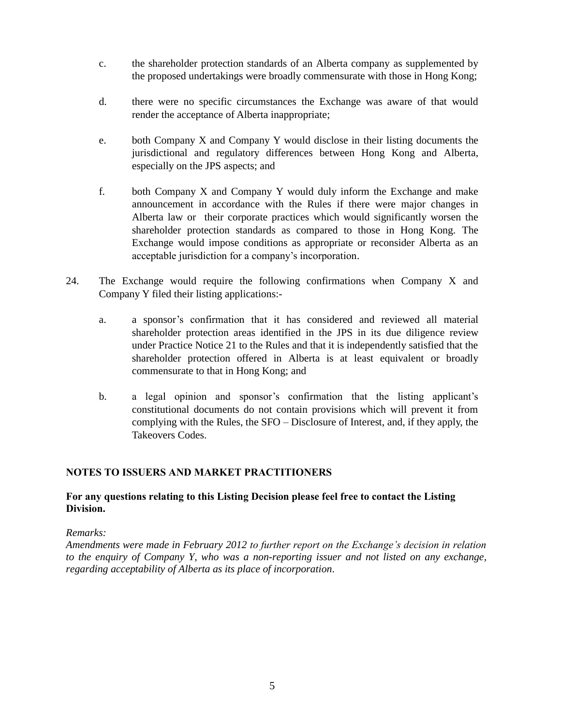- c. the shareholder protection standards of an Alberta company as supplemented by the proposed undertakings were broadly commensurate with those in Hong Kong;
- d. there were no specific circumstances the Exchange was aware of that would render the acceptance of Alberta inappropriate;
- e. both Company X and Company Y would disclose in their listing documents the jurisdictional and regulatory differences between Hong Kong and Alberta, especially on the JPS aspects; and
- f. both Company X and Company Y would duly inform the Exchange and make announcement in accordance with the Rules if there were major changes in Alberta law or their corporate practices which would significantly worsen the shareholder protection standards as compared to those in Hong Kong. The Exchange would impose conditions as appropriate or reconsider Alberta as an acceptable jurisdiction for a company's incorporation.
- 24. The Exchange would require the following confirmations when Company X and Company Y filed their listing applications:
	- a. a sponsor's confirmation that it has considered and reviewed all material shareholder protection areas identified in the JPS in its due diligence review under Practice Notice 21 to the Rules and that it is independently satisfied that the shareholder protection offered in Alberta is at least equivalent or broadly commensurate to that in Hong Kong; and
	- b. a legal opinion and sponsor's confirmation that the listing applicant's constitutional documents do not contain provisions which will prevent it from complying with the Rules, the SFO – Disclosure of Interest, and, if they apply, the Takeovers Codes.

# **NOTES TO ISSUERS AND MARKET PRACTITIONERS**

## **For any questions relating to this Listing Decision please feel free to contact the Listing Division.**

### *Remarks:*

*Amendments were made in February 2012 to further report on the Exchange's decision in relation to the enquiry of Company Y, who was a non-reporting issuer and not listed on any exchange, regarding acceptability of Alberta as its place of incorporation.*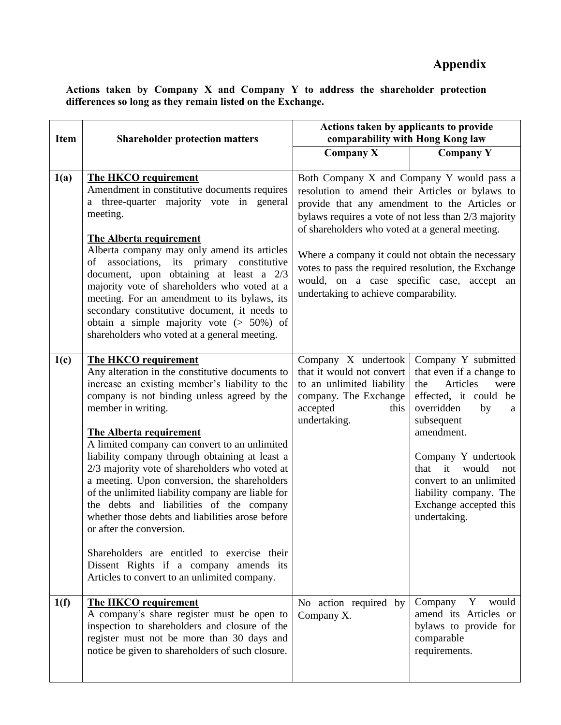**Actions taken by Company X and Company Y to address the shareholder protection differences so long as they remain listed on the Exchange.** 

| <b>Item</b> | <b>Shareholder protection matters</b>                                                                                                                                                                                                                                                                                                                                                                                                                                                                                                                                                                                                                                                                                                                           | Actions taken by applicants to provide<br>comparability with Hong Kong law                                                                                                                                                                                                                                                                                                                                                                                 |                                                                                                                                                                                                                                                                                                              |
|-------------|-----------------------------------------------------------------------------------------------------------------------------------------------------------------------------------------------------------------------------------------------------------------------------------------------------------------------------------------------------------------------------------------------------------------------------------------------------------------------------------------------------------------------------------------------------------------------------------------------------------------------------------------------------------------------------------------------------------------------------------------------------------------|------------------------------------------------------------------------------------------------------------------------------------------------------------------------------------------------------------------------------------------------------------------------------------------------------------------------------------------------------------------------------------------------------------------------------------------------------------|--------------------------------------------------------------------------------------------------------------------------------------------------------------------------------------------------------------------------------------------------------------------------------------------------------------|
|             |                                                                                                                                                                                                                                                                                                                                                                                                                                                                                                                                                                                                                                                                                                                                                                 | <b>Company X</b>                                                                                                                                                                                                                                                                                                                                                                                                                                           | <b>Company Y</b>                                                                                                                                                                                                                                                                                             |
| 1(a)        | <b>The HKCO requirement</b><br>Amendment in constitutive documents requires<br>a three-quarter majority vote in general<br>meeting.<br><b>The Alberta requirement</b><br>Alberta company may only amend its articles<br>of associations, its primary constitutive<br>document, upon obtaining at least a 2/3<br>majority vote of shareholders who voted at a<br>meeting. For an amendment to its bylaws, its<br>secondary constitutive document, it needs to<br>obtain a simple majority vote $(> 50\%)$ of<br>shareholders who voted at a general meeting.                                                                                                                                                                                                     | Both Company X and Company Y would pass a<br>resolution to amend their Articles or bylaws to<br>provide that any amendment to the Articles or<br>bylaws requires a vote of not less than 2/3 majority<br>of shareholders who voted at a general meeting.<br>Where a company it could not obtain the necessary<br>votes to pass the required resolution, the Exchange<br>would, on a case specific case, accept an<br>undertaking to achieve comparability. |                                                                                                                                                                                                                                                                                                              |
| 1(c)        | The HKCO requirement<br>Any alteration in the constitutive documents to<br>increase an existing member's liability to the<br>company is not binding unless agreed by the<br>member in writing.<br><b>The Alberta requirement</b><br>A limited company can convert to an unlimited<br>liability company through obtaining at least a<br>2/3 majority vote of shareholders who voted at<br>a meeting. Upon conversion, the shareholders<br>of the unlimited liability company are liable for<br>the debts and liabilities of the company<br>whether those debts and liabilities arose before<br>or after the conversion.<br>Shareholders are entitled to exercise their<br>Dissent Rights if a company amends its<br>Articles to convert to an unlimited company. | Company X undertook<br>that it would not convert<br>to an unlimited liability<br>company. The Exchange<br>accepted<br>this<br>undertaking.                                                                                                                                                                                                                                                                                                                 | Company Y submitted<br>that even if a change to<br>Articles<br>the<br>were<br>effected, it could be<br>overridden<br>by<br>a<br>subsequent<br>amendment.<br>Company Y undertook<br>it<br>that<br>would<br>not<br>convert to an unlimited<br>liability company. The<br>Exchange accepted this<br>undertaking. |
| 1(f)        | The HKCO requirement<br>A company's share register must be open to<br>inspection to shareholders and closure of the<br>register must not be more than 30 days and<br>notice be given to shareholders of such closure.                                                                                                                                                                                                                                                                                                                                                                                                                                                                                                                                           | No action required by<br>Company X.                                                                                                                                                                                                                                                                                                                                                                                                                        | Company<br>Y<br>would<br>amend its Articles or<br>bylaws to provide for<br>comparable<br>requirements.                                                                                                                                                                                                       |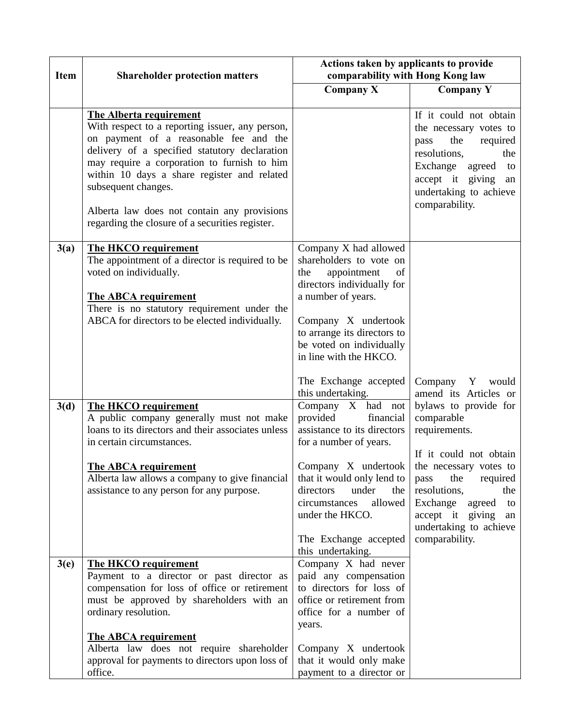| <b>Item</b> | <b>Shareholder protection matters</b>                                                                                                                                                                                                                                                                                                                                                               | Actions taken by applicants to provide<br>comparability with Hong Kong law                                                                                                                                                                                                                                                       |                                                                                                                                                                                                                                                                                                             |
|-------------|-----------------------------------------------------------------------------------------------------------------------------------------------------------------------------------------------------------------------------------------------------------------------------------------------------------------------------------------------------------------------------------------------------|----------------------------------------------------------------------------------------------------------------------------------------------------------------------------------------------------------------------------------------------------------------------------------------------------------------------------------|-------------------------------------------------------------------------------------------------------------------------------------------------------------------------------------------------------------------------------------------------------------------------------------------------------------|
|             |                                                                                                                                                                                                                                                                                                                                                                                                     | Company X                                                                                                                                                                                                                                                                                                                        | Company Y                                                                                                                                                                                                                                                                                                   |
|             | <b>The Alberta requirement</b><br>With respect to a reporting issuer, any person,<br>on payment of a reasonable fee and the<br>delivery of a specified statutory declaration<br>may require a corporation to furnish to him<br>within 10 days a share register and related<br>subsequent changes.<br>Alberta law does not contain any provisions<br>regarding the closure of a securities register. |                                                                                                                                                                                                                                                                                                                                  | If it could not obtain<br>the necessary votes to<br>the<br>required<br>pass<br>resolutions,<br>the<br>Exchange agreed<br>to<br>accept it giving an<br>undertaking to achieve<br>comparability.                                                                                                              |
| 3(a)        | The HKCO requirement<br>The appointment of a director is required to be<br>voted on individually.<br><b>The ABCA requirement</b><br>There is no statutory requirement under the<br>ABCA for directors to be elected individually.                                                                                                                                                                   | Company X had allowed<br>shareholders to vote on<br>the<br>appointment<br>of<br>directors individually for<br>a number of years.<br>Company X undertook<br>to arrange its directors to<br>be voted on individually<br>in line with the HKCO.                                                                                     |                                                                                                                                                                                                                                                                                                             |
| 3(d)        | <b>The HKCO requirement</b><br>A public company generally must not make<br>loans to its directors and their associates unless<br>in certain circumstances.<br><b>The ABCA requirement</b><br>Alberta law allows a company to give financial<br>assistance to any person for any purpose.                                                                                                            | The Exchange accepted<br>this undertaking.<br>Company X had not<br>provided<br>financial<br>assistance to its directors<br>for a number of years.<br>Company X undertook<br>that it would only lend to<br>directors<br>under<br>the<br>allowed<br>circumstances<br>under the HKCO.<br>The Exchange accepted<br>this undertaking. | Company Y<br>would<br>amend its Articles or<br>bylaws to provide for<br>comparable<br>requirements.<br>If it could not obtain<br>the necessary votes to<br>the<br>required<br>pass<br>resolutions.<br>the<br>Exchange<br>agreed<br>to<br>accept it giving<br>an<br>undertaking to achieve<br>comparability. |
| 3(e)        | <b>The HKCO requirement</b><br>Payment to a director or past director as<br>compensation for loss of office or retirement<br>must be approved by shareholders with an<br>ordinary resolution.<br><b>The ABCA requirement</b><br>Alberta law does not require shareholder<br>approval for payments to directors upon loss of<br>office.                                                              | Company X had never<br>paid any compensation<br>to directors for loss of<br>office or retirement from<br>office for a number of<br>years.<br>Company X undertook<br>that it would only make<br>payment to a director or                                                                                                          |                                                                                                                                                                                                                                                                                                             |